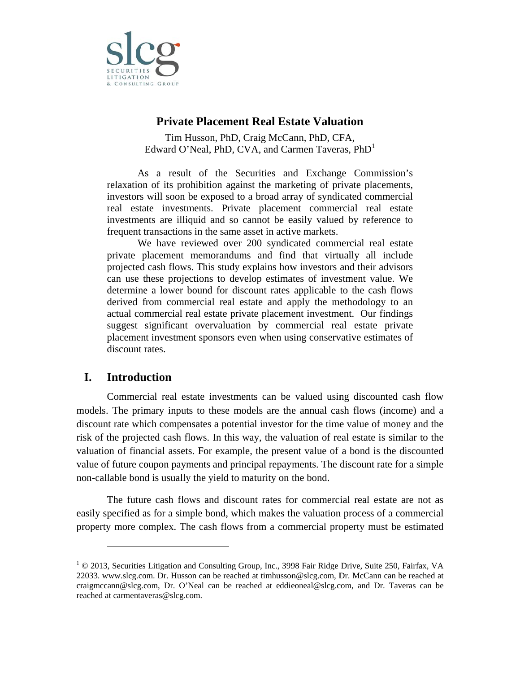

# **Private Placement Real Estate Valuation**

Tim Husson, PhD, Craig McCann, PhD, CFA, Edward O'Neal, PhD, CVA, and Carmen Taveras, PhD<sup>1</sup>

As a result of the Securities and Exchange Commission's relaxation of its prohibition against the marketing of private placements, investors will soon be exposed to a broad array of syndicated commercial real estate investments. Private placement commercial real estate investments are illiquid and so cannot be easily valued by reference to frequent transactions in the same asset in active markets.

We have reviewed over 200 syndicated commercial real estate private placement memorandums and find that virtually all include projected cash flows. This study explains how investors and their advisors can use these projections to develop estimates of investment value. We determine a lower bound for discount rates applicable to the cash flows derived from commercial real estate and apply the methodology to an actual commercial real estate private placement investment. Our findings suggest significant overvaluation by commercial real estate private placement investment sponsors even when using conservative estimates of discount rates.

#### L. **Introduction**

Commercial real estate investments can be valued using discounted cash flow models. The primary inputs to these models are the annual cash flows (income) and a discount rate which compensates a potential investor for the time value of money and the risk of the projected cash flows. In this way, the valuation of real estate is similar to the valuation of financial assets. For example, the present value of a bond is the discounted value of future coupon payments and principal repayments. The discount rate for a simple non-callable bond is usually the yield to maturity on the bond.

The future cash flows and discount rates for commercial real estate are not as easily specified as for a simple bond, which makes the valuation process of a commercial property more complex. The cash flows from a commercial property must be estimated

 $^{1}$  © 2013, Securities Litigation and Consulting Group, Inc., 3998 Fair Ridge Drive, Suite 250, Fairfax, VA 22033. www.slcg.com. Dr. Husson can be reached at timhusson@slcg.com, Dr. McCann can be reached at craigmccann@slcg.com, Dr. O'Neal can be reached at eddieoneal@slcg.com, and Dr. Taveras can be reached at carmentaveras@slcg.com.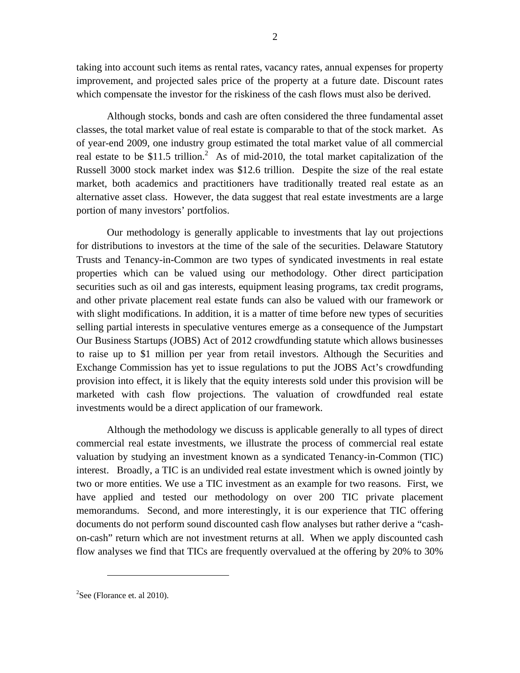taking into account such items as rental rates, vacancy rates, annual expenses for property improvement, and projected sales price of the property at a future date. Discount rates which compensate the investor for the riskiness of the cash flows must also be derived.

Although stocks, bonds and cash are often considered the three fundamental asset classes, the total market value of real estate is comparable to that of the stock market. As of year-end 2009, one industry group estimated the total market value of all commercial real estate to be \$11.5 trillion.<sup>2</sup> As of mid-2010, the total market capitalization of the Russell 3000 stock market index was \$12.6 trillion. Despite the size of the real estate market, both academics and practitioners have traditionally treated real estate as an alternative asset class. However, the data suggest that real estate investments are a large portion of many investors' portfolios.

Our methodology is generally applicable to investments that lay out projections for distributions to investors at the time of the sale of the securities. Delaware Statutory Trusts and Tenancy-in-Common are two types of syndicated investments in real estate properties which can be valued using our methodology. Other direct participation securities such as oil and gas interests, equipment leasing programs, tax credit programs, and other private placement real estate funds can also be valued with our framework or with slight modifications. In addition, it is a matter of time before new types of securities selling partial interests in speculative ventures emerge as a consequence of the Jumpstart Our Business Startups (JOBS) Act of 2012 crowdfunding statute which allows businesses to raise up to \$1 million per year from retail investors. Although the Securities and Exchange Commission has yet to issue regulations to put the JOBS Act's crowdfunding provision into effect, it is likely that the equity interests sold under this provision will be marketed with cash flow projections. The valuation of crowdfunded real estate investments would be a direct application of our framework.

Although the methodology we discuss is applicable generally to all types of direct commercial real estate investments, we illustrate the process of commercial real estate valuation by studying an investment known as a syndicated Tenancy-in-Common (TIC) interest. Broadly, a TIC is an undivided real estate investment which is owned jointly by two or more entities. We use a TIC investment as an example for two reasons. First, we have applied and tested our methodology on over 200 TIC private placement memorandums. Second, and more interestingly, it is our experience that TIC offering documents do not perform sound discounted cash flow analyses but rather derive a "cashon-cash" return which are not investment returns at all. When we apply discounted cash flow analyses we find that TICs are frequently overvalued at the offering by 20% to 30%

 $2$ See (Florance et. al 2010).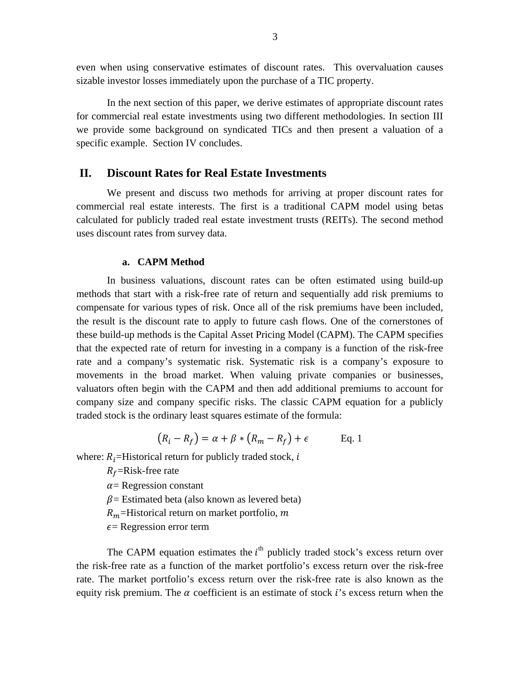even when using conservative estimates of discount rates. This overvaluation causes sizable investor losses immediately upon the purchase of a TIC property.

In the next section of this paper, we derive estimates of appropriate discount rates for commercial real estate investments using two different methodologies. In section III we provide some background on syndicated TICs and then present a valuation of a specific example. Section IV concludes.

### **II. Discount Rates for Real Estate Investments**

We present and discuss two methods for arriving at proper discount rates for commercial real estate interests. The first is a traditional CAPM model using betas calculated for publicly traded real estate investment trusts (REITs). The second method uses discount rates from survey data.

#### **a. CAPM Method**

In business valuations, discount rates can be often estimated using build-up methods that start with a risk-free rate of return and sequentially add risk premiums to compensate for various types of risk. Once all of the risk premiums have been included, the result is the discount rate to apply to future cash flows. One of the cornerstones of these build-up methods is the Capital Asset Pricing Model (CAPM). The CAPM specifies that the expected rate of return for investing in a company is a function of the risk-free rate and a company's systematic risk. Systematic risk is a company's exposure to movements in the broad market. When valuing private companies or businesses, valuators often begin with the CAPM and then add additional premiums to account for company size and company specific risks. The classic CAPM equation for a publicly traded stock is the ordinary least squares estimate of the formula:

$$
(R_i - R_f) = \alpha + \beta * (R_m - R_f) + \epsilon
$$
 Eq. 1

where:  $R_i$ =Historical return for publicly traded stock, i

- $R_f$ =Risk-free rate
- $\alpha$  = Regression constant
- $\beta$  = Estimated beta (also known as levered beta)
- $R_m$ =Historical return on market portfolio, m
- $\epsilon$ = Regression error term

The CAPM equation estimates the  $i<sup>th</sup>$  publicly traded stock's excess return over the risk-free rate as a function of the market portfolio's excess return over the risk-free rate. The market portfolio's excess return over the risk-free rate is also known as the equity risk premium. The  $\alpha$  coefficient is an estimate of stock i's excess return when the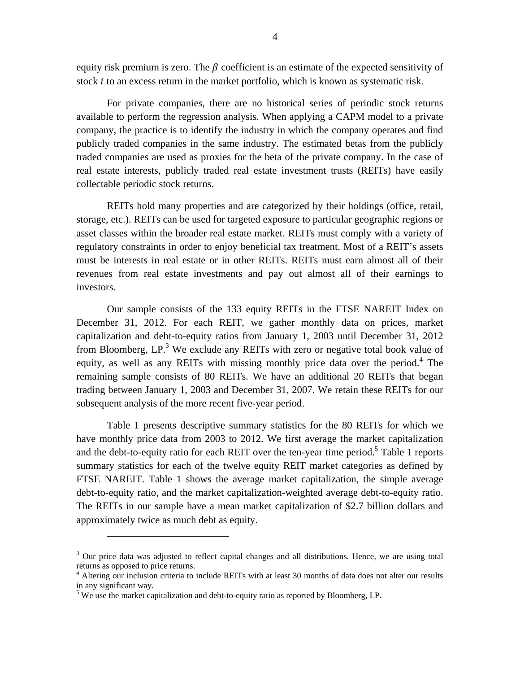equity risk premium is zero. The  $\beta$  coefficient is an estimate of the expected sensitivity of stock  $i$  to an excess return in the market portfolio, which is known as systematic risk.

For private companies, there are no historical series of periodic stock returns available to perform the regression analysis. When applying a CAPM model to a private company, the practice is to identify the industry in which the company operates and find publicly traded companies in the same industry. The estimated betas from the publicly traded companies are used as proxies for the beta of the private company. In the case of real estate interests, publicly traded real estate investment trusts (REITs) have easily collectable periodic stock returns.

REITs hold many properties and are categorized by their holdings (office, retail, storage, etc.). REITs can be used for targeted exposure to particular geographic regions or asset classes within the broader real estate market. REITs must comply with a variety of regulatory constraints in order to enjoy beneficial tax treatment. Most of a REIT's assets must be interests in real estate or in other REITs. REITs must earn almost all of their revenues from real estate investments and pay out almost all of their earnings to investors.

Our sample consists of the 133 equity REITs in the FTSE NAREIT Index on December 31, 2012. For each REIT, we gather monthly data on prices, market capitalization and debt-to-equity ratios from January 1, 2003 until December 31, 2012 from Bloomberg,  $LP<sup>3</sup>$  We exclude any REITs with zero or negative total book value of equity, as well as any REITs with missing monthly price data over the period.<sup>4</sup> The remaining sample consists of 80 REITs. We have an additional 20 REITs that began trading between January 1, 2003 and December 31, 2007. We retain these REITs for our subsequent analysis of the more recent five-year period.

Table 1 presents descriptive summary statistics for the 80 REITs for which we have monthly price data from 2003 to 2012. We first average the market capitalization and the debt-to-equity ratio for each REIT over the ten-year time period.<sup>5</sup> Table 1 reports summary statistics for each of the twelve equity REIT market categories as defined by FTSE NAREIT. Table 1 shows the average market capitalization, the simple average debt-to-equity ratio, and the market capitalization-weighted average debt-to-equity ratio. The REITs in our sample have a mean market capitalization of \$2.7 billion dollars and approximately twice as much debt as equity.

 $3$  Our price data was adjusted to reflect capital changes and all distributions. Hence, we are using total returns as opposed to price returns.

<sup>&</sup>lt;sup>4</sup> Altering our inclusion criteria to include REITs with at least 30 months of data does not alter our results in any significant way.

<sup>&</sup>lt;sup>5</sup> We use the market capitalization and debt-to-equity ratio as reported by Bloomberg, LP.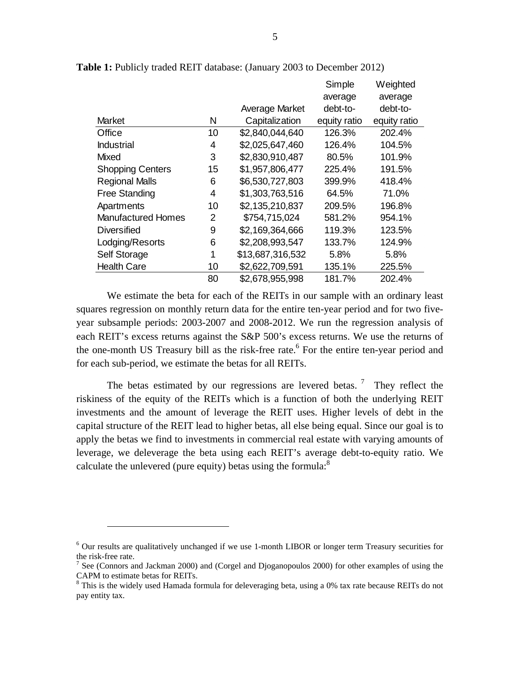|                           |    |                       | Simple       | Weighted     |
|---------------------------|----|-----------------------|--------------|--------------|
|                           |    |                       | average      | average      |
|                           |    | <b>Average Market</b> | debt-to-     | debt-to-     |
| <b>Market</b>             | N  | Capitalization        | equity ratio | equity ratio |
| Office                    | 10 | \$2,840,044,640       | 126.3%       | 202.4%       |
| <b>Industrial</b>         | 4  | \$2,025,647,460       | 126.4%       | 104.5%       |
| <b>Mixed</b>              | 3  | \$2,830,910,487       | 80.5%        | 101.9%       |
| <b>Shopping Centers</b>   | 15 | \$1,957,806,477       | 225.4%       | 191.5%       |
| <b>Regional Malls</b>     | 6  | \$6,530,727,803       | 399.9%       | 418.4%       |
| <b>Free Standing</b>      | 4  | \$1,303,763,516       | 64.5%        | 71.0%        |
| Apartments                | 10 | \$2,135,210,837       | 209.5%       | 196.8%       |
| <b>Manufactured Homes</b> | 2  | \$754,715,024         | 581.2%       | 954.1%       |
| <b>Diversified</b>        | 9  | \$2,169,364,666       | 119.3%       | 123.5%       |
| Lodging/Resorts           | 6  | \$2,208,993,547       | 133.7%       | 124.9%       |
| Self Storage              | 1  | \$13,687,316,532      | 5.8%         | 5.8%         |
| <b>Health Care</b>        | 10 | \$2,622,709,591       | 135.1%       | 225.5%       |
|                           | 80 | \$2,678,955,998       | 181.7%       | 202.4%       |

**Table 1:** Publicly traded REIT database: (January 2003 to December 2012)

We estimate the beta for each of the REITs in our sample with an ordinary least squares regression on monthly return data for the entire ten-year period and for two fiveyear subsample periods: 2003-2007 and 2008-2012. We run the regression analysis of each REIT's excess returns against the S&P 500's excess returns. We use the returns of the one-month US Treasury bill as the risk-free rate.<sup>6</sup> For the entire ten-year period and for each sub-period, we estimate the betas for all REITs.

The betas estimated by our regressions are levered betas.  $\frac{7}{1}$  They reflect the riskiness of the equity of the REITs which is a function of both the underlying REIT investments and the amount of leverage the REIT uses. Higher levels of debt in the capital structure of the REIT lead to higher betas, all else being equal. Since our goal is to apply the betas we find to investments in commercial real estate with varying amounts of leverage, we deleverage the beta using each REIT's average debt-to-equity ratio. We calculate the unlevered (pure equity) betas using the formula:<sup>8</sup>

<sup>&</sup>lt;sup>6</sup> Our results are qualitatively unchanged if we use 1-month LIBOR or longer term Treasury securities for the risk-free rate.

<sup>&</sup>lt;sup>7</sup> See (Connors and Jackman 2000) and (Corgel and Djoganopoulos 2000) for other examples of using the CAPM to estimate betas for REITs.

 $8$  This is the widely used Hamada formula for deleveraging beta, using a 0% tax rate because REITs do not pay entity tax.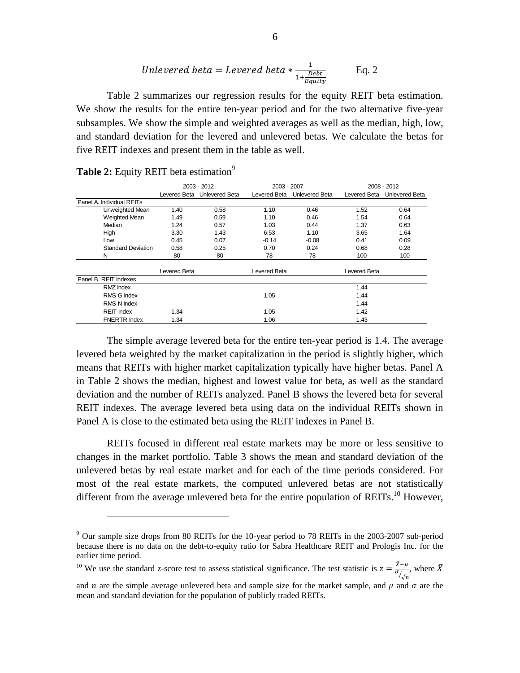Unlevered beta = Levered beta 
$$
\frac{1}{1 + \frac{Debt}{Equity}}
$$
 Eq. 2

Table 2 summarizes our regression results for the equity REIT beta estimation. We show the results for the entire ten-year period and for the two alternative five-year subsamples. We show the simple and weighted averages as well as the median, high, low, and standard deviation for the levered and unlevered betas. We calculate the betas for five REIT indexes and present them in the table as well.

|                           |              | 2003 - 2012                 | 2003 - 2007  |                | 2008 - 2012  |                |  |
|---------------------------|--------------|-----------------------------|--------------|----------------|--------------|----------------|--|
|                           |              | Levered Beta Unlevered Beta | Levered Beta | Unlevered Beta | Levered Beta | Unlevered Beta |  |
| Panel A. Individual REITs |              |                             |              |                |              |                |  |
| Unweighted Mean           | 1.40         | 0.58                        | 1.10         | 0.46           | 1.52         | 0.64           |  |
| Weighted Mean             | 1.49         | 0.59                        | 1.10         | 0.46           | 1.54         | 0.64           |  |
| Median                    | 1.24         | 0.57                        | 1.03         | 0.44           |              | 0.63           |  |
| High                      | 3.30         | 1.43                        | 6.53         | 1.10           | 3.65         | 1.64           |  |
| Low                       | 0.45         | 0.07                        | $-0.14$      | $-0.08$        | 0.41         | 0.09           |  |
| <b>Standard Deviation</b> | 0.58         | 0.25                        | 0.70         | 0.24           | 0.68         | 0.28           |  |
| N                         | 80           | 80                          | 78           | 78             | 100          | 100            |  |
|                           | Levered Beta |                             | Levered Beta |                | Levered Beta |                |  |
| Panel B. REIT Indexes     |              |                             |              |                |              |                |  |
| RMZ Index                 |              |                             |              |                | 1.44         |                |  |
| RMS G Index               |              |                             | 1.05         |                | 1.44         |                |  |
| RMS N Index               |              |                             |              |                | 1.44         |                |  |
| <b>REIT</b> Index         | 1.34         |                             | 1.05         |                | 1.42         |                |  |
| <b>FNERTR Index</b>       | 1.34         |                             | 1.06         |                | 1.43         |                |  |

### **Table 2:** Equity REIT beta estimation<sup>9</sup>

The simple average levered beta for the entire ten-year period is 1.4. The average levered beta weighted by the market capitalization in the period is slightly higher, which means that REITs with higher market capitalization typically have higher betas. Panel A in Table 2 shows the median, highest and lowest value for beta, as well as the standard deviation and the number of REITs analyzed. Panel B shows the levered beta for several REIT indexes. The average levered beta using data on the individual REITs shown in Panel A is close to the estimated beta using the REIT indexes in Panel B.

REITs focused in different real estate markets may be more or less sensitive to changes in the market portfolio. Table 3 shows the mean and standard deviation of the unlevered betas by real estate market and for each of the time periods considered. For most of the real estate markets, the computed unlevered betas are not statistically different from the average unlevered beta for the entire population of REITs.<sup>10</sup> However,

<sup>10</sup> We use the standard z-score test to assess statistical significance. The test statistic is  $z = \frac{\overline{x} - \mu}{\sigma/\sqrt{n}}$ , where  $\overline{X}$ 

 $9$  Our sample size drops from 80 REITs for the 10-year period to 78 REITs in the 2003-2007 sub-period because there is no data on the debt-to-equity ratio for Sabra Healthcare REIT and Prologis Inc. for the earlier time period.

and *n* are the simple average unlevered beta and sample size for the market sample, and  $\mu$  and  $\sigma$  are the mean and standard deviation for the population of publicly traded REITs.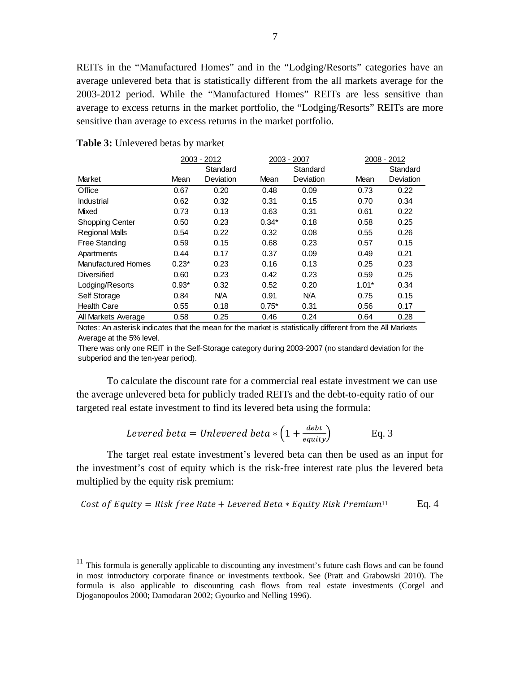REITs in the "Manufactured Homes" and in the "Lodging/Resorts" categories have an average unlevered beta that is statistically different from the all markets average for the 2003-2012 period. While the "Manufactured Homes" REITs are less sensitive than average to excess returns in the market portfolio, the "Lodging/Resorts" REITs are more sensitive than average to excess returns in the market portfolio.

|                           | 2003 - 2012 |           |          | 2003 - 2007 | 2008 - 2012 |           |  |
|---------------------------|-------------|-----------|----------|-------------|-------------|-----------|--|
|                           | Standard    |           | Standard |             |             | Standard  |  |
| Market                    | Mean        | Deviation | Mean     | Deviation   | Mean        | Deviation |  |
| Office                    | 0.67        | 0.20      | 0.48     | 0.09        | 0.73        | 0.22      |  |
| Industrial                | 0.62        | 0.32      | 0.31     | 0.15        | 0.70        | 0.34      |  |
| Mixed                     | 0.73        | 0.13      | 0.63     | 0.31        | 0.61        | 0.22      |  |
| <b>Shopping Center</b>    | 0.50        | 0.23      | $0.34*$  | 0.18        | 0.58        | 0.25      |  |
| <b>Regional Malls</b>     | 0.54        | 0.22      | 0.32     | 0.08        | 0.55        | 0.26      |  |
| Free Standing             | 0.59        | 0.15      | 0.68     | 0.23        | 0.57        | 0.15      |  |
| Apartments                | 0.44        | 0.17      | 0.37     | 0.09        | 0.49        | 0.21      |  |
| <b>Manufactured Homes</b> | $0.23*$     | 0.23      | 0.16     | 0.13        | 0.25        | 0.23      |  |
| <b>Diversified</b>        | 0.60        | 0.23      | 0.42     | 0.23        | 0.59        | 0.25      |  |
| Lodging/Resorts           | $0.93*$     | 0.32      | 0.52     | 0.20        | $1.01*$     | 0.34      |  |
| Self Storage              | 0.84        | N/A       | 0.91     | N/A         | 0.75        | 0.15      |  |
| <b>Health Care</b>        | 0.55        | 0.18      | $0.75*$  | 0.31        | 0.56        | 0.17      |  |
| All Markets Average       | 0.58        | 0.25      | 0.46     | 0.24        | 0.64        | 0.28      |  |

**Table 3:** Unlevered betas by market

 $\overline{a}$ 

Notes: An asterisk indicates that the mean for the market is statistically different from the All Markets Average at the 5% level.

There was only one REIT in the Self-Storage category during 2003-2007 (no standard deviation for the subperiod and the ten-year period).

To calculate the discount rate for a commercial real estate investment we can use the average unlevered beta for publicly traded REITs and the debt-to-equity ratio of our targeted real estate investment to find its levered beta using the formula:

$$
Levered beta = Unlevered beta * \left(1 + \frac{debt}{equity}\right)
$$
 Eq. 3

The target real estate investment's levered beta can then be used as an input for the investment's cost of equity which is the risk-free interest rate plus the levered beta multiplied by the equity risk premium:

4 .Eq ݉11ݑ݁݉݅ݎܲ ݇ݏܴ݅ ݕݐ݅ݑݍܧ ∗ ܽݐ݁ܤ ݁݀ݎ݁ݒ݁ܮ ݁ݐܴܽ ݁݁ݎ݂ ݇ݏܴ݅ ൌ ݕݐ݅ݑݍܧ ݂ ݐݏܥ

 $11$  This formula is generally applicable to discounting any investment's future cash flows and can be found in most introductory corporate finance or investments textbook. See (Pratt and Grabowski 2010). The formula is also applicable to discounting cash flows from real estate investments (Corgel and Djoganopoulos 2000; Damodaran 2002; Gyourko and Nelling 1996).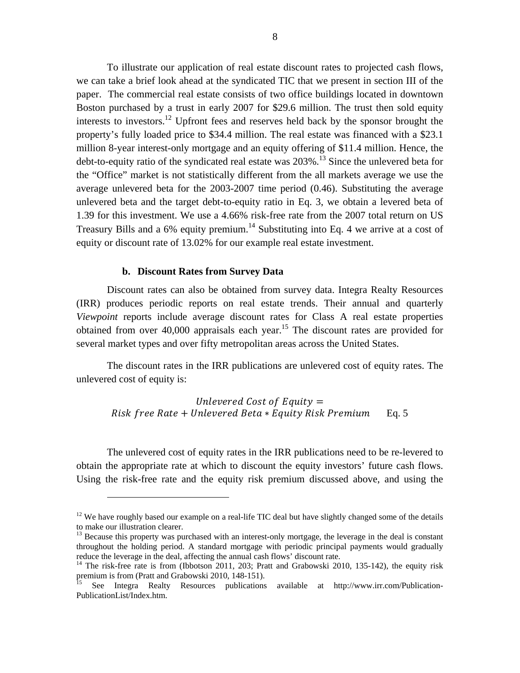To illustrate our application of real estate discount rates to projected cash flows, we can take a brief look ahead at the syndicated TIC that we present in section III of the paper. The commercial real estate consists of two office buildings located in downtown Boston purchased by a trust in early 2007 for \$29.6 million. The trust then sold equity interests to investors.<sup>12</sup> Upfront fees and reserves held back by the sponsor brought the property's fully loaded price to \$34.4 million. The real estate was financed with a \$23.1 million 8-year interest-only mortgage and an equity offering of \$11.4 million. Hence, the debt-to-equity ratio of the syndicated real estate was  $203\%$ <sup>13</sup>. Since the unlevered beta for the "Office" market is not statistically different from the all markets average we use the average unlevered beta for the 2003-2007 time period (0.46). Substituting the average unlevered beta and the target debt-to-equity ratio in Eq. 3, we obtain a levered beta of 1.39 for this investment. We use a 4.66% risk-free rate from the 2007 total return on US Treasury Bills and a 6% equity premium.<sup>14</sup> Substituting into Eq. 4 we arrive at a cost of equity or discount rate of 13.02% for our example real estate investment.

#### **b. Discount Rates from Survey Data**

<u>.</u>

Discount rates can also be obtained from survey data. Integra Realty Resources (IRR) produces periodic reports on real estate trends. Their annual and quarterly *Viewpoint* reports include average discount rates for Class A real estate properties obtained from over  $40,000$  appraisals each year.<sup>15</sup> The discount rates are provided for several market types and over fifty metropolitan areas across the United States.

The discount rates in the IRR publications are unlevered cost of equity rates. The unlevered cost of equity is:

Unlevered Cost of Equity  $=$ Risk free Rate + Unlevered Beta \* Equity Risk Premium Eq. 5

The unlevered cost of equity rates in the IRR publications need to be re-levered to obtain the appropriate rate at which to discount the equity investors' future cash flows. Using the risk-free rate and the equity risk premium discussed above, and using the

<sup>&</sup>lt;sup>12</sup> We have roughly based our example on a real-life TIC deal but have slightly changed some of the details to make our illustration clearer.

<sup>&</sup>lt;sup>13</sup> Because this property was purchased with an interest-only mortgage, the leverage in the deal is constant throughout the holding period. A standard mortgage with periodic principal payments would gradually reduce the leverage in the deal, affecting the annual cash flows' discount rate.

<sup>&</sup>lt;sup>14</sup> The risk-free rate is from (Ibbotson 2011, 203; Pratt and Grabowski 2010, 135-142), the equity risk premium is from (Pratt and Grabowski 2010, 148-151).

<sup>15</sup> See Integra Realty Resources publications available at http://www.irr.com/Publication-PublicationList/Index.htm.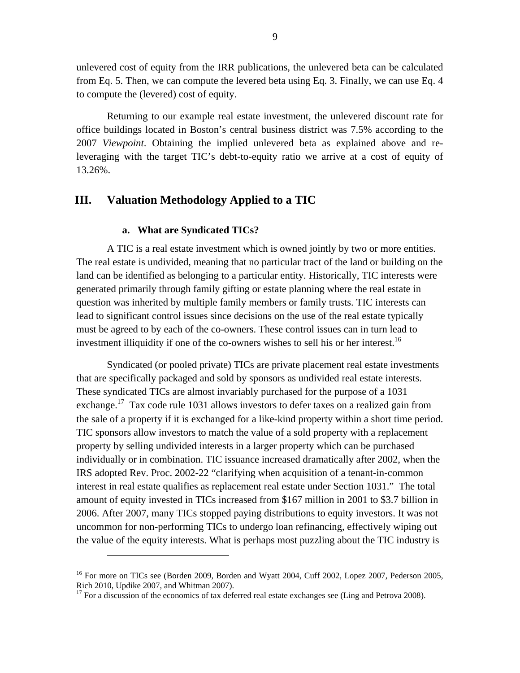unlevered cost of equity from the IRR publications, the unlevered beta can be calculated from Eq. 5. Then, we can compute the levered beta using Eq. 3. Finally, we can use Eq. 4 to compute the (levered) cost of equity.

Returning to our example real estate investment, the unlevered discount rate for office buildings located in Boston's central business district was 7.5% according to the 2007 *Viewpoint*. Obtaining the implied unlevered beta as explained above and releveraging with the target TIC's debt-to-equity ratio we arrive at a cost of equity of 13.26%.

# **III. Valuation Methodology Applied to a TIC**

### **a. What are Syndicated TICs?**

<u>.</u>

A TIC is a real estate investment which is owned jointly by two or more entities. The real estate is undivided, meaning that no particular tract of the land or building on the land can be identified as belonging to a particular entity. Historically, TIC interests were generated primarily through family gifting or estate planning where the real estate in question was inherited by multiple family members or family trusts. TIC interests can lead to significant control issues since decisions on the use of the real estate typically must be agreed to by each of the co-owners. These control issues can in turn lead to investment illiquidity if one of the co-owners wishes to sell his or her interest.<sup>16</sup>

Syndicated (or pooled private) TICs are private placement real estate investments that are specifically packaged and sold by sponsors as undivided real estate interests. These syndicated TICs are almost invariably purchased for the purpose of a 1031 exchange.<sup>17</sup> Tax code rule 1031 allows investors to defer taxes on a realized gain from the sale of a property if it is exchanged for a like-kind property within a short time period. TIC sponsors allow investors to match the value of a sold property with a replacement property by selling undivided interests in a larger property which can be purchased individually or in combination. TIC issuance increased dramatically after 2002, when the IRS adopted Rev. Proc. 2002-22 "clarifying when acquisition of a tenant-in-common interest in real estate qualifies as replacement real estate under Section 1031." The total amount of equity invested in TICs increased from \$167 million in 2001 to \$3.7 billion in 2006. After 2007, many TICs stopped paying distributions to equity investors. It was not uncommon for non-performing TICs to undergo loan refinancing, effectively wiping out the value of the equity interests. What is perhaps most puzzling about the TIC industry is

<sup>&</sup>lt;sup>16</sup> For more on TICs see (Borden 2009, Borden and Wyatt 2004, Cuff 2002, Lopez 2007, Pederson 2005, Rich 2010, Updike 2007, and Whitman 2007).

<sup>&</sup>lt;sup>17</sup> For a discussion of the economics of tax deferred real estate exchanges see (Ling and Petrova 2008).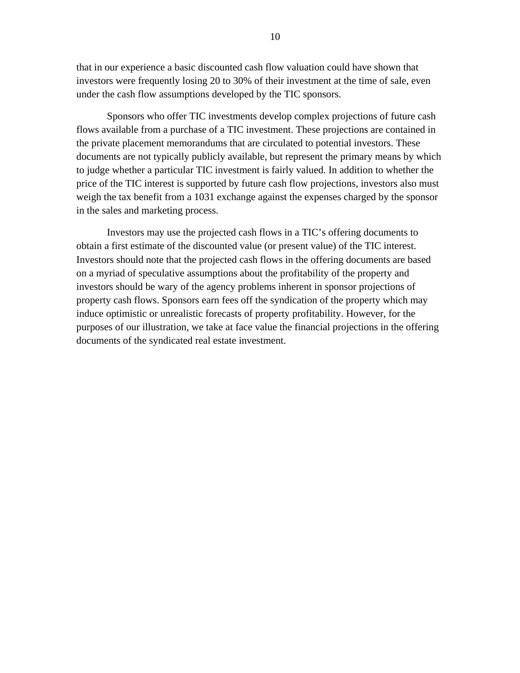that in our experience a basic discounted cash flow valuation could have shown that investors were frequently losing 20 to 30% of their investment at the time of sale, even under the cash flow assumptions developed by the TIC sponsors.

Sponsors who offer TIC investments develop complex projections of future cash flows available from a purchase of a TIC investment. These projections are contained in the private placement memorandums that are circulated to potential investors. These documents are not typically publicly available, but represent the primary means by which to judge whether a particular TIC investment is fairly valued. In addition to whether the price of the TIC interest is supported by future cash flow projections, investors also must weigh the tax benefit from a 1031 exchange against the expenses charged by the sponsor in the sales and marketing process.

Investors may use the projected cash flows in a TIC's offering documents to obtain a first estimate of the discounted value (or present value) of the TIC interest. Investors should note that the projected cash flows in the offering documents are based on a myriad of speculative assumptions about the profitability of the property and investors should be wary of the agency problems inherent in sponsor projections of property cash flows. Sponsors earn fees off the syndication of the property which may induce optimistic or unrealistic forecasts of property profitability. However, for the purposes of our illustration, we take at face value the financial projections in the offering documents of the syndicated real estate investment.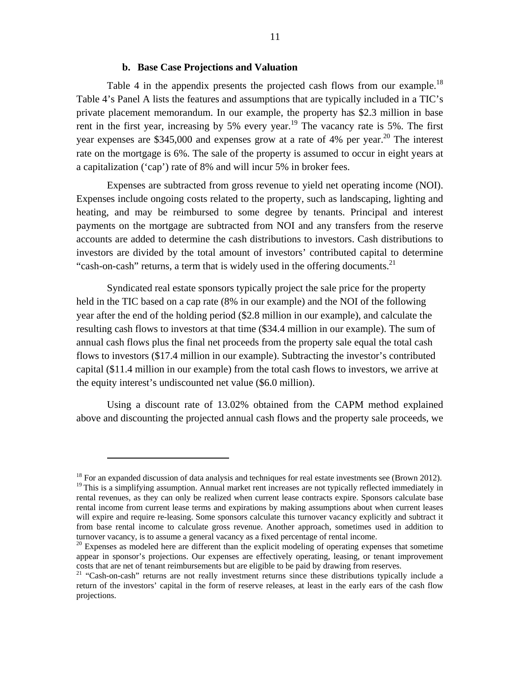### **b. Base Case Projections and Valuation**

Table 4 in the appendix presents the projected cash flows from our example.<sup>18</sup> Table 4's Panel A lists the features and assumptions that are typically included in a TIC's private placement memorandum. In our example, the property has \$2.3 million in base rent in the first year, increasing by 5% every year.<sup>19</sup> The vacancy rate is 5%. The first year expenses are \$345,000 and expenses grow at a rate of 4% per year.<sup>20</sup> The interest rate on the mortgage is 6%. The sale of the property is assumed to occur in eight years at a capitalization ('cap') rate of 8% and will incur 5% in broker fees.

Expenses are subtracted from gross revenue to yield net operating income (NOI). Expenses include ongoing costs related to the property, such as landscaping, lighting and heating, and may be reimbursed to some degree by tenants. Principal and interest payments on the mortgage are subtracted from NOI and any transfers from the reserve accounts are added to determine the cash distributions to investors. Cash distributions to investors are divided by the total amount of investors' contributed capital to determine "cash-on-cash" returns, a term that is widely used in the offering documents.<sup>21</sup>

Syndicated real estate sponsors typically project the sale price for the property held in the TIC based on a cap rate (8% in our example) and the NOI of the following year after the end of the holding period (\$2.8 million in our example), and calculate the resulting cash flows to investors at that time (\$34.4 million in our example). The sum of annual cash flows plus the final net proceeds from the property sale equal the total cash flows to investors (\$17.4 million in our example). Subtracting the investor's contributed capital (\$11.4 million in our example) from the total cash flows to investors, we arrive at the equity interest's undiscounted net value (\$6.0 million).

Using a discount rate of 13.02% obtained from the CAPM method explained above and discounting the projected annual cash flows and the property sale proceeds, we

<sup>&</sup>lt;sup>18</sup> For an expanded discussion of data analysis and techniques for real estate investments see (Brown 2012). <sup>19</sup> This is a simplifying assumption. Annual market rent increases are not typically reflected immediately in rental revenues, as they can only be realized when current lease contracts expire. Sponsors calculate base rental income from current lease terms and expirations by making assumptions about when current leases will expire and require re-leasing. Some sponsors calculate this turnover vacancy explicitly and subtract it from base rental income to calculate gross revenue. Another approach, sometimes used in addition to turnover vacancy, is to assume a general vacancy as a fixed percentage of rental income.

 $20$  Expenses as modeled here are different than the explicit modeling of operating expenses that sometime appear in sponsor's projections. Our expenses are effectively operating, leasing, or tenant improvement costs that are net of tenant reimbursements but are eligible to be paid by drawing from reserves.

<sup>&</sup>lt;sup>21</sup> "Cash-on-cash" returns are not really investment returns since these distributions typically include a return of the investors' capital in the form of reserve releases, at least in the early ears of the cash flow projections.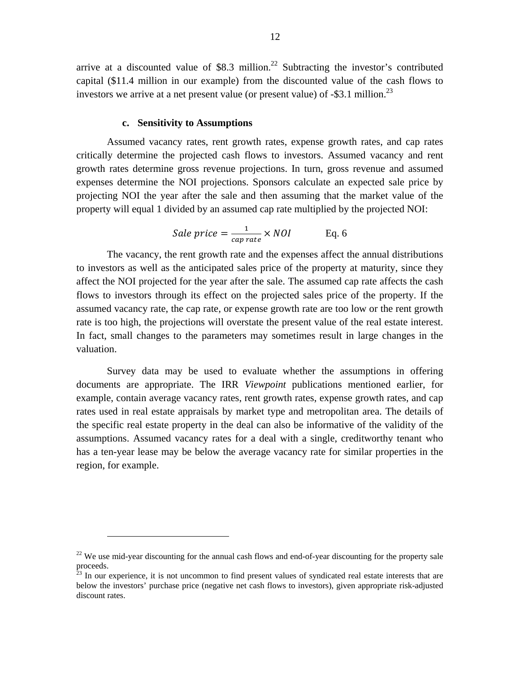arrive at a discounted value of \$8.3 million.<sup>22</sup> Subtracting the investor's contributed capital (\$11.4 million in our example) from the discounted value of the cash flows to investors we arrive at a net present value (or present value) of  $-$ \$3.1 million.<sup>23</sup>

#### c. Sensitivity to Assumptions

Assumed vacancy rates, rent growth rates, expense growth rates, and cap rates critically determine the projected cash flows to investors. Assumed vacancy and rent growth rates determine gross revenue projections. In turn, gross revenue and assumed expenses determine the NOI projections. Sponsors calculate an expected sale price by projecting NOI the year after the sale and then assuming that the market value of the property will equal 1 divided by an assumed cap rate multiplied by the projected NOI:

$$
Sale\ price = \frac{1}{cap\ rate} \times NOI \qquad \text{Eq. 6}
$$

The vacancy, the rent growth rate and the expenses affect the annual distributions to investors as well as the anticipated sales price of the property at maturity, since they affect the NOI projected for the year after the sale. The assumed cap rate affects the cash flows to investors through its effect on the projected sales price of the property. If the assumed vacancy rate, the cap rate, or expense growth rate are too low or the rent growth rate is too high, the projections will overstate the present value of the real estate interest. In fact, small changes to the parameters may sometimes result in large changes in the valuation.

Survey data may be used to evaluate whether the assumptions in offering documents are appropriate. The IRR Viewpoint publications mentioned earlier, for example, contain average vacancy rates, rent growth rates, expense growth rates, and cap rates used in real estate appraisals by market type and metropolitan area. The details of the specific real estate property in the deal can also be informative of the validity of the assumptions. Assumed vacancy rates for a deal with a single, creditworthy tenant who has a ten-year lease may be below the average vacancy rate for similar properties in the region, for example.

<sup>&</sup>lt;sup>22</sup> We use mid-year discounting for the annual cash flows and end-of-year discounting for the property sale proceeds.<br><sup>23</sup> In our experience, it is not uncommon to find present values of syndicated real estate interests that are

below the investors' purchase price (negative net cash flows to investors), given appropriate risk-adjusted discount rates.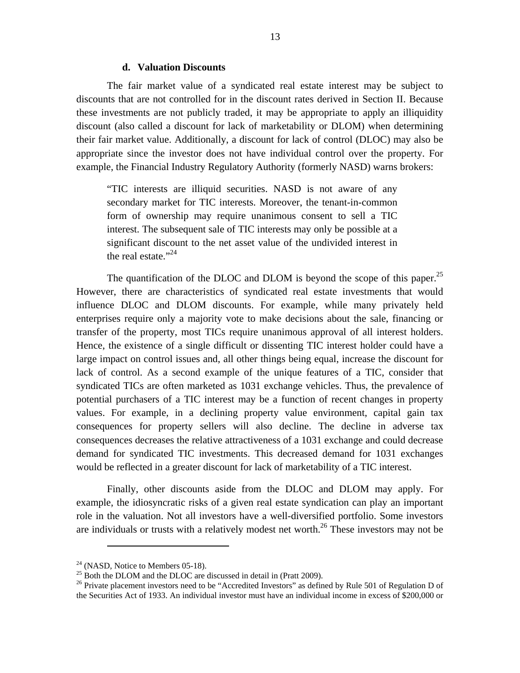#### **d. Valuation Discounts**

The fair market value of a syndicated real estate interest may be subject to discounts that are not controlled for in the discount rates derived in Section II. Because these investments are not publicly traded, it may be appropriate to apply an illiquidity discount (also called a discount for lack of marketability or DLOM) when determining their fair market value. Additionally, a discount for lack of control (DLOC) may also be appropriate since the investor does not have individual control over the property. For example, the Financial Industry Regulatory Authority (formerly NASD) warns brokers:

"TIC interests are illiquid securities. NASD is not aware of any secondary market for TIC interests. Moreover, the tenant-in-common form of ownership may require unanimous consent to sell a TIC interest. The subsequent sale of TIC interests may only be possible at a significant discount to the net asset value of the undivided interest in the real estate." $^{24}$ 

The quantification of the DLOC and DLOM is beyond the scope of this paper.<sup>25</sup> However, there are characteristics of syndicated real estate investments that would influence DLOC and DLOM discounts. For example, while many privately held enterprises require only a majority vote to make decisions about the sale, financing or transfer of the property, most TICs require unanimous approval of all interest holders. Hence, the existence of a single difficult or dissenting TIC interest holder could have a large impact on control issues and, all other things being equal, increase the discount for lack of control. As a second example of the unique features of a TIC, consider that syndicated TICs are often marketed as 1031 exchange vehicles. Thus, the prevalence of potential purchasers of a TIC interest may be a function of recent changes in property values. For example, in a declining property value environment, capital gain tax consequences for property sellers will also decline. The decline in adverse tax consequences decreases the relative attractiveness of a 1031 exchange and could decrease demand for syndicated TIC investments. This decreased demand for 1031 exchanges would be reflected in a greater discount for lack of marketability of a TIC interest.

Finally, other discounts aside from the DLOC and DLOM may apply. For example, the idiosyncratic risks of a given real estate syndication can play an important role in the valuation. Not all investors have a well-diversified portfolio. Some investors are individuals or trusts with a relatively modest net worth.<sup>26</sup> These investors may not be

1

 $24$  (NASD, Notice to Members 05-18).

 $^{25}$  Both the DLOM and the DLOC are discussed in detail in (Pratt 2009).

<sup>&</sup>lt;sup>26</sup> Private placement investors need to be "Accredited Investors" as defined by Rule 501 of Regulation D of the Securities Act of 1933. An individual investor must have an individual income in excess of \$200,000 or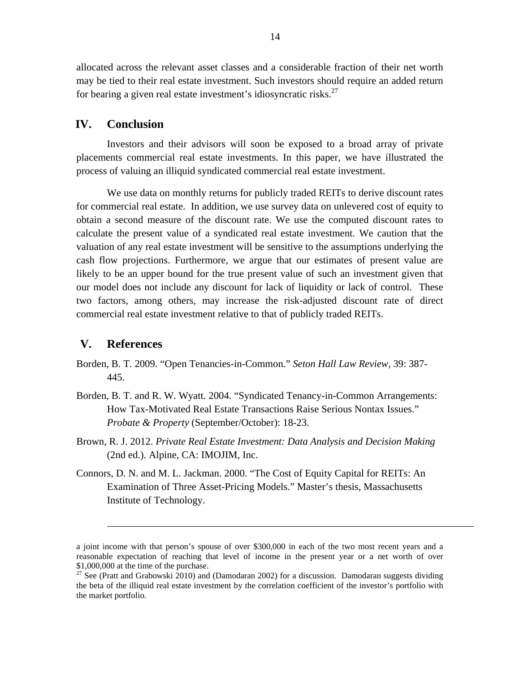allocated across the relevant asset classes and a considerable fraction of their net worth may be tied to their real estate investment. Such investors should require an added return for bearing a given real estate investment's idiosyncratic risks.27

## **IV. Conclusion**

Investors and their advisors will soon be exposed to a broad array of private placements commercial real estate investments. In this paper, we have illustrated the process of valuing an illiquid syndicated commercial real estate investment.

We use data on monthly returns for publicly traded REITs to derive discount rates for commercial real estate. In addition, we use survey data on unlevered cost of equity to obtain a second measure of the discount rate. We use the computed discount rates to calculate the present value of a syndicated real estate investment. We caution that the valuation of any real estate investment will be sensitive to the assumptions underlying the cash flow projections. Furthermore, we argue that our estimates of present value are likely to be an upper bound for the true present value of such an investment given that our model does not include any discount for lack of liquidity or lack of control. These two factors, among others, may increase the risk-adjusted discount rate of direct commercial real estate investment relative to that of publicly traded REITs.

### **V. References**

- Borden, B. T. 2009. "Open Tenancies-in-Common." *Seton Hall Law Review,* 39: 387- 445.
- Borden, B. T. and R. W. Wyatt. 2004. "Syndicated Tenancy-in-Common Arrangements: How Tax-Motivated Real Estate Transactions Raise Serious Nontax Issues." *Probate & Property* (September/October): 18-23.
- Brown, R. J. 2012. *Private Real Estate Investment: Data Analysis and Decision Making* (2nd ed.). Alpine, CA: IMOJIM, Inc.
- Connors, D. N. and M. L. Jackman. 2000. "The Cost of Equity Capital for REITs: An Examination of Three Asset-Pricing Models." Master's thesis, Massachusetts Institute of Technology.

a joint income with that person's spouse of over \$300,000 in each of the two most recent years and a reasonable expectation of reaching that level of income in the present year or a net worth of over \$1,000,000 at the time of the purchase.

<sup>&</sup>lt;sup>27</sup> See (Pratt and Grabowski 2010) and (Damodaran 2002) for a discussion. Damodaran suggests dividing the beta of the illiquid real estate investment by the correlation coefficient of the investor's portfolio with the market portfolio.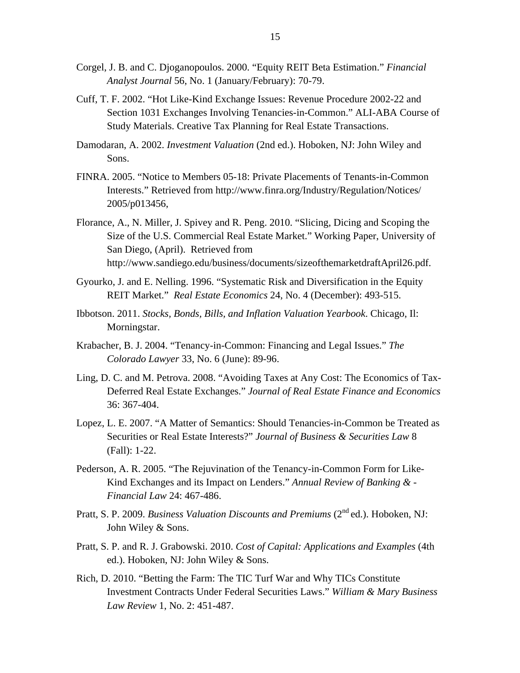- Corgel, J. B. and C. Djoganopoulos. 2000. "Equity REIT Beta Estimation." *Financial Analyst Journal* 56, No. 1 (January/February): 70-79.
- Cuff, T. F. 2002. "Hot Like-Kind Exchange Issues: Revenue Procedure 2002-22 and Section 1031 Exchanges Involving Tenancies-in-Common." ALI-ABA Course of Study Materials. Creative Tax Planning for Real Estate Transactions.
- Damodaran, A. 2002. *Investment Valuation* (2nd ed.). Hoboken, NJ: John Wiley and Sons.
- FINRA. 2005. "Notice to Members 05-18: Private Placements of Tenants-in-Common Interests." Retrieved from http://www.finra.org/Industry/Regulation/Notices/ 2005/p013456,
- Florance, A., N. Miller, J. Spivey and R. Peng. 2010. "Slicing, Dicing and Scoping the Size of the U.S. Commercial Real Estate Market." Working Paper, University of San Diego, (April). Retrieved from http://www.sandiego.edu/business/documents/sizeofthemarketdraftApril26.pdf.
- Gyourko, J. and E. Nelling. 1996. "Systematic Risk and Diversification in the Equity REIT Market." *Real Estate Economics* 24, No. 4 (December): 493-515.
- Ibbotson. 2011. *Stocks, Bonds, Bills, and Inflation Valuation Yearbook*. Chicago, Il: Morningstar.
- Krabacher, B. J. 2004. "Tenancy-in-Common: Financing and Legal Issues." *The Colorado Lawyer* 33, No. 6 (June): 89-96.
- Ling, D. C. and M. Petrova. 2008. "Avoiding Taxes at Any Cost: The Economics of Tax-Deferred Real Estate Exchanges." *Journal of Real Estate Finance and Economics* 36: 367-404.
- Lopez, L. E. 2007. "A Matter of Semantics: Should Tenancies-in-Common be Treated as Securities or Real Estate Interests?" *Journal of Business & Securities Law* 8 (Fall): 1-22.
- Pederson, A. R. 2005. "The Rejuvination of the Tenancy-in-Common Form for Like-Kind Exchanges and its Impact on Lenders." *Annual Review of Banking & - Financial Law* 24: 467-486.
- Pratt, S. P. 2009. *Business Valuation Discounts and Premiums* (2<sup>nd</sup> ed.). Hoboken, NJ: John Wiley & Sons.
- Pratt, S. P. and R. J. Grabowski. 2010. *Cost of Capital: Applications and Examples* (4th ed.). Hoboken, NJ: John Wiley & Sons.
- Rich, D. 2010. "Betting the Farm: The TIC Turf War and Why TICs Constitute Investment Contracts Under Federal Securities Laws." *William & Mary Business Law Review* 1, No. 2: 451-487.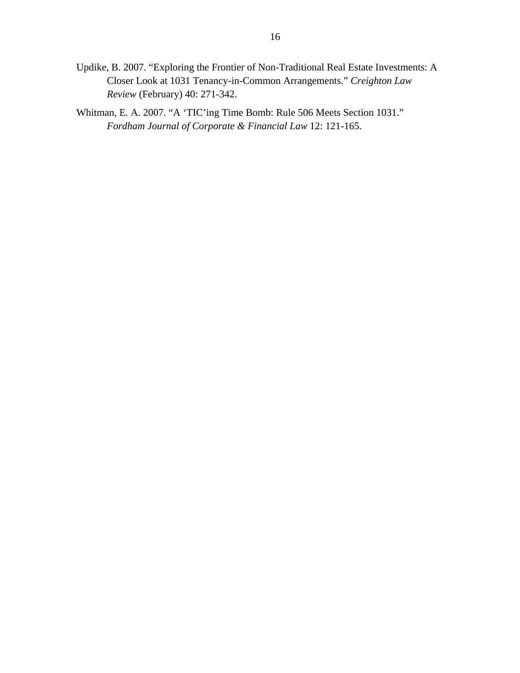- Updike, B. 2007. "Exploring the Frontier of Non-Traditional Real Estate Investments: A Closer Look at 1031 Tenancy-in-Common Arrangements." *Creighton Law Review* (February) 40: 271-342.
- Whitman, E. A. 2007. "A 'TIC'ing Time Bomb: Rule 506 Meets Section 1031." *Fordham Journal of Corporate & Financial Law* 12: 121-165.